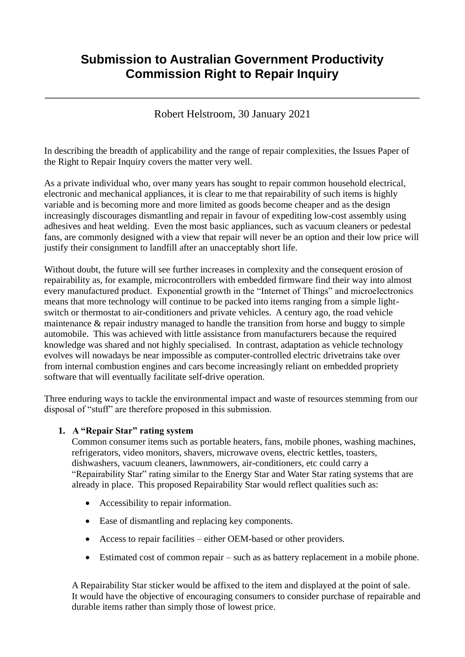## **Submission to Australian Government Productivity Commission Right to Repair Inquiry**

Robert Helstroom, 30 January 2021

 $\overline{\phantom{a}}$  , and the contract of the contract of the contract of the contract of the contract of the contract of the contract of the contract of the contract of the contract of the contract of the contract of the contrac

In describing the breadth of applicability and the range of repair complexities, the Issues Paper of the Right to Repair Inquiry covers the matter very well.

As a private individual who, over many years has sought to repair common household electrical, electronic and mechanical appliances, it is clear to me that repairability of such items is highly variable and is becoming more and more limited as goods become cheaper and as the design increasingly discourages dismantling and repair in favour of expediting low-cost assembly using adhesives and heat welding. Even the most basic appliances, such as vacuum cleaners or pedestal fans, are commonly designed with a view that repair will never be an option and their low price will justify their consignment to landfill after an unacceptably short life.

Without doubt, the future will see further increases in complexity and the consequent erosion of repairability as, for example, microcontrollers with embedded firmware find their way into almost every manufactured product. Exponential growth in the "Internet of Things" and microelectronics means that more technology will continue to be packed into items ranging from a simple lightswitch or thermostat to air-conditioners and private vehicles. A century ago, the road vehicle maintenance & repair industry managed to handle the transition from horse and buggy to simple automobile. This was achieved with little assistance from manufacturers because the required knowledge was shared and not highly specialised. In contrast, adaptation as vehicle technology evolves will nowadays be near impossible as computer-controlled electric drivetrains take over from internal combustion engines and cars become increasingly reliant on embedded propriety software that will eventually facilitate self-drive operation.

Three enduring ways to tackle the environmental impact and waste of resources stemming from our disposal of "stuff" are therefore proposed in this submission.

## **1. A "Repair Star" rating system**

Common consumer items such as portable heaters, fans, mobile phones, washing machines, refrigerators, video monitors, shavers, microwave ovens, electric kettles, toasters, dishwashers, vacuum cleaners, lawnmowers, air-conditioners, etc could carry a "Repairability Star" rating similar to the Energy Star and Water Star rating systems that are already in place. This proposed Repairability Star would reflect qualities such as:

- Accessibility to repair information.
- Ease of dismantling and replacing key components.
- Access to repair facilities either OEM-based or other providers.
- Estimated cost of common repair such as as battery replacement in a mobile phone.

A Repairability Star sticker would be affixed to the item and displayed at the point of sale. It would have the objective of encouraging consumers to consider purchase of repairable and durable items rather than simply those of lowest price.